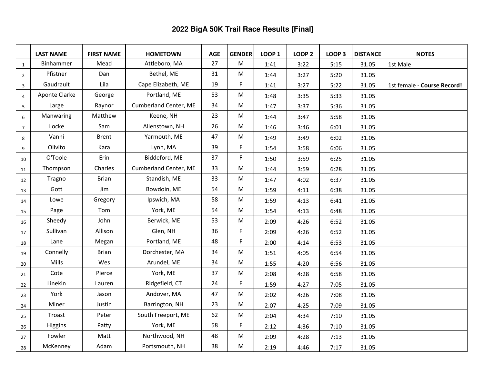|                | <b>LAST NAME</b> | <b>FIRST NAME</b> | <b>HOMETOWN</b>       | <b>AGE</b> | <b>GENDER</b>                                                                         | <b>LOOP 1</b> | <b>LOOP 2</b> | <b>LOOP 3</b> | <b>DISTANCE</b> | <b>NOTES</b>                |
|----------------|------------------|-------------------|-----------------------|------------|---------------------------------------------------------------------------------------|---------------|---------------|---------------|-----------------|-----------------------------|
| $\mathbf{1}$   | <b>Binhammer</b> | Mead              | Attleboro, MA         | 27         | M                                                                                     | 1:41          | 3:22          | 5:15          | 31.05           | 1st Male                    |
| $\overline{2}$ | Pfistner         | Dan               | Bethel, ME            | 31         | M                                                                                     | 1:44          | 3:27          | 5:20          | 31.05           |                             |
| 3              | Gaudrault        | Lila              | Cape Elizabeth, ME    | 19         | F                                                                                     | 1:41          | 3:27          | 5:22          | 31.05           | 1st female - Course Record! |
| 4              | Aponte Clarke    | George            | Portland, ME          | 53         | M                                                                                     | 1:48          | 3:35          | 5:33          | 31.05           |                             |
| 5              | Large            | Raynor            | Cumberland Center, ME | 34         | M                                                                                     | 1:47          | 3:37          | 5:36          | 31.05           |                             |
| 6              | Manwaring        | Matthew           | Keene, NH             | 23         | ${\sf M}$                                                                             | 1:44          | 3:47          | 5:58          | 31.05           |                             |
| $\overline{7}$ | Locke            | Sam               | Allenstown, NH        | 26         | M                                                                                     | 1:46          | 3:46          | 6:01          | 31.05           |                             |
| 8              | Vanni            | <b>Brent</b>      | Yarmouth, ME          | 47         | M                                                                                     | 1:49          | 3:49          | 6:02          | 31.05           |                             |
| 9              | Olivito          | Kara              | Lynn, MA              | 39         | F                                                                                     | 1:54          | 3:58          | 6:06          | 31.05           |                             |
| 10             | O'Toole          | Erin              | Biddeford, ME         | 37         | F                                                                                     | 1:50          | 3:59          | 6:25          | 31.05           |                             |
| 11             | Thompson         | Charles           | Cumberland Center, ME | 33         | M                                                                                     | 1:44          | 3:59          | 6:28          | 31.05           |                             |
| 12             | Tragno           | <b>Brian</b>      | Standish, ME          | 33         | M                                                                                     | 1:47          | 4:02          | 6:37          | 31.05           |                             |
| 13             | Gott             | Jim               | Bowdoin, ME           | 54         | $\mathsf{M}% _{T}=\mathsf{M}_{T}\!\left( a,b\right) ,\ \mathsf{M}_{T}=\mathsf{M}_{T}$ | 1:59          | 4:11          | 6:38          | 31.05           |                             |
| 14             | Lowe             | Gregory           | Ipswich, MA           | 58         | M                                                                                     | 1:59          | 4:13          | 6:41          | 31.05           |                             |
| 15             | Page             | Tom               | York, ME              | 54         | M                                                                                     | 1:54          | 4:13          | 6:48          | 31.05           |                             |
| 16             | Sheedy           | John              | Berwick, ME           | 53         | M                                                                                     | 2:09          | 4:26          | 6:52          | 31.05           |                             |
| 17             | Sullivan         | Allison           | Glen, NH              | 36         | F                                                                                     | 2:09          | 4:26          | 6:52          | 31.05           |                             |
| 18             | Lane             | Megan             | Portland, ME          | 48         | F                                                                                     | 2:00          | 4:14          | 6:53          | 31.05           |                             |
| 19             | Connelly         | <b>Brian</b>      | Dorchester, MA        | 34         | M                                                                                     | 1:51          | 4:05          | 6:54          | 31.05           |                             |
| 20             | Mills            | Wes               | Arundel, ME           | 34         | M                                                                                     | 1:55          | 4:20          | 6:56          | 31.05           |                             |
| 21             | Cote             | Pierce            | York, ME              | 37         | M                                                                                     | 2:08          | 4:28          | 6:58          | 31.05           |                             |
| 22             | Linekin          | Lauren            | Ridgefield, CT        | 24         | F                                                                                     | 1:59          | 4:27          | 7:05          | 31.05           |                             |
| 23             | York             | Jason             | Andover, MA           | 47         | M                                                                                     | 2:02          | 4:26          | 7:08          | 31.05           |                             |
| 24             | Miner            | Justin            | Barrington, NH        | 23         | M                                                                                     | 2:07          | 4:25          | 7:09          | 31.05           |                             |
| 25             | Troast           | Peter             | South Freeport, ME    | 62         | M                                                                                     | 2:04          | 4:34          | 7:10          | 31.05           |                             |
| 26             | Higgins          | Patty             | York, ME              | 58         | F                                                                                     | 2:12          | 4:36          | 7:10          | 31.05           |                             |
| 27             | Fowler           | Matt              | Northwood, NH         | 48         | ${\sf M}$                                                                             | 2:09          | 4:28          | 7:13          | 31.05           |                             |
| 28             | McKenney         | Adam              | Portsmouth, NH        | 38         | $\mathsf{M}$                                                                          | 2:19          | 4:46          | 7:17          | 31.05           |                             |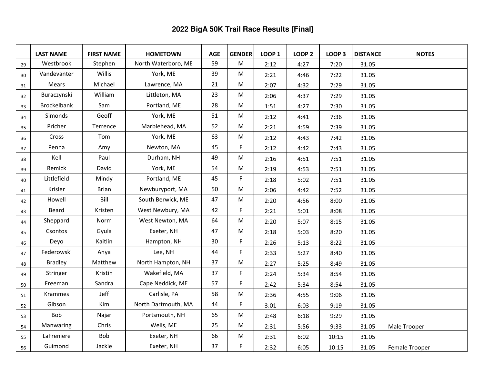|    | <b>LAST NAME</b>   | <b>FIRST NAME</b> | <b>HOMETOWN</b>     | <b>AGE</b> | <b>GENDER</b> | <b>LOOP 1</b> | <b>LOOP 2</b> | <b>LOOP 3</b> | <b>DISTANCE</b> | <b>NOTES</b>   |
|----|--------------------|-------------------|---------------------|------------|---------------|---------------|---------------|---------------|-----------------|----------------|
| 29 | Westbrook          | Stephen           | North Waterboro, ME | 59         | M             | 2:12          | 4:27          | 7:20          | 31.05           |                |
| 30 | Vandevanter        | Willis            | York, ME            | 39         | M             | 2:21          | 4:46          | 7:22          | 31.05           |                |
| 31 | Mears              | Michael           | Lawrence, MA        | 21         | M             | 2:07          | 4:32          | 7:29          | 31.05           |                |
| 32 | Buraczynski        | William           | Littleton, MA       | 23         | M             | 2:06          | 4:37          | 7:29          | 31.05           |                |
| 33 | <b>Brockelbank</b> | Sam               | Portland, ME        | 28         | M             | 1:51          | 4:27          | 7:30          | 31.05           |                |
| 34 | Simonds            | Geoff             | York, ME            | 51         | M             | 2:12          | 4:41          | 7:36          | 31.05           |                |
| 35 | Pricher            | Terrence          | Marblehead, MA      | 52         | M             | 2:21          | 4:59          | 7:39          | 31.05           |                |
| 36 | Cross              | Tom               | York, ME            | 63         | M             | 2:12          | 4:43          | 7:42          | 31.05           |                |
| 37 | Penna              | Amy               | Newton, MA          | 45         | F             | 2:12          | 4:42          | 7:43          | 31.05           |                |
| 38 | Kell               | Paul              | Durham, NH          | 49         | M             | 2:16          | 4:51          | 7:51          | 31.05           |                |
| 39 | Remick             | David             | York, ME            | 54         | M             | 2:19          | 4:53          | 7:51          | 31.05           |                |
| 40 | Littlefield        | Mindy             | Portland, ME        | 45         | F             | 2:18          | 5:02          | 7:51          | 31.05           |                |
| 41 | Krisler            | <b>Brian</b>      | Newburyport, MA     | 50         | M             | 2:06          | 4:42          | 7:52          | 31.05           |                |
| 42 | Howell             | Bill              | South Berwick, ME   | 47         | ${\sf M}$     | 2:20          | 4:56          | 8:00          | 31.05           |                |
| 43 | Beard              | Kristen           | West Newbury, MA    | 42         | F             | 2:21          | 5:01          | 8:08          | 31.05           |                |
| 44 | Sheppard           | Norm              | West Newton, MA     | 64         | M             | 2:20          | 5:07          | 8:15          | 31.05           |                |
| 45 | Csontos            | Gyula             | Exeter, NH          | 47         | M             | 2:18          | 5:03          | 8:20          | 31.05           |                |
| 46 | Deyo               | Kaitlin           | Hampton, NH         | 30         | F             | 2:26          | 5:13          | 8:22          | 31.05           |                |
| 47 | Federowski         | Anya              | Lee, NH             | 44         | F             | 2:33          | 5:27          | 8:40          | 31.05           |                |
| 48 | <b>Bradley</b>     | Matthew           | North Hampton, NH   | 37         | M             | 2:27          | 5:25          | 8:49          | 31.05           |                |
| 49 | Stringer           | Kristin           | Wakefield, MA       | 37         | F.            | 2:24          | 5:34          | 8:54          | 31.05           |                |
| 50 | Freeman            | Sandra            | Cape Neddick, ME    | 57         | F.            | 2:42          | 5:34          | 8:54          | 31.05           |                |
| 51 | <b>Krammes</b>     | Jeff              | Carlisle, PA        | 58         | M             | 2:36          | 4:55          | 9:06          | 31.05           |                |
| 52 | Gibson             | Kim               | North Dartmouth, MA | 44         | F             | 3:01          | 6:03          | 9:19          | 31.05           |                |
| 53 | Bob                | Najar             | Portsmouth, NH      | 65         | M             | 2:48          | 6:18          | 9:29          | 31.05           |                |
| 54 | Manwaring          | Chris             | Wells, ME           | 25         | M             | 2:31          | 5:56          | 9:33          | 31.05           | Male Trooper   |
| 55 | LaFreniere         | Bob               | Exeter, NH          | 66         | M             | 2:31          | 6:02          | 10:15         | 31.05           |                |
| 56 | Guimond            | Jackie            | Exeter, NH          | 37         | F             | 2:32          | 6:05          | 10:15         | 31.05           | Female Trooper |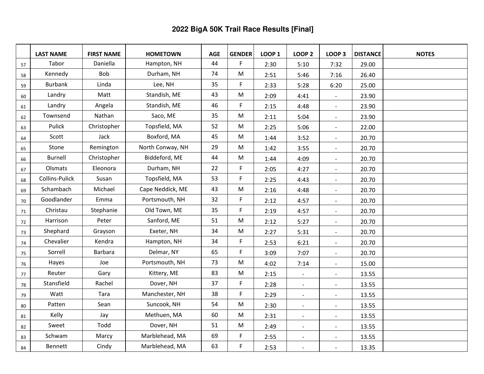|    | <b>LAST NAME</b> | <b>FIRST NAME</b> | <b>HOMETOWN</b>  | <b>AGE</b> | <b>GENDER</b> | <b>LOOP 1</b> | <b>LOOP 2</b>  | <b>LOOP 3</b>            | <b>DISTANCE</b> | <b>NOTES</b> |
|----|------------------|-------------------|------------------|------------|---------------|---------------|----------------|--------------------------|-----------------|--------------|
| 57 | Tabor            | Daniella          | Hampton, NH      | 44         | F             | 2:30          | 5:10           | 7:32                     | 29.00           |              |
| 58 | Kennedy          | <b>Bob</b>        | Durham, NH       | 74         | M             | 2:51          | 5:46           | 7:16                     | 26.40           |              |
| 59 | <b>Burbank</b>   | Linda             | Lee, NH          | 35         | F             | 2:33          | 5:28           | 6:20                     | 25.00           |              |
| 60 | Landry           | Matt              | Standish, ME     | 43         | M             | 2:09          | 4:41           | $\overline{\phantom{a}}$ | 23.90           |              |
| 61 | Landry           | Angela            | Standish, ME     | 46         | F             | 2:15          | 4:48           | $\blacksquare$           | 23.90           |              |
| 62 | Townsend         | Nathan            | Saco, ME         | 35         | M             | 2:11          | 5:04           | $\overline{\phantom{a}}$ | 23.90           |              |
| 63 | Pulick           | Christopher       | Topsfield, MA    | 52         | M             | 2:25          | 5:06           | $\blacksquare$           | 22.00           |              |
| 64 | Scott            | Jack              | Boxford, MA      | 45         | M             | 1:44          | 3:52           | $\overline{\phantom{a}}$ | 20.70           |              |
| 65 | Stone            | Remington         | North Conway, NH | 29         | M             | 1:42          | 3:55           | $\blacksquare$           | 20.70           |              |
| 66 | <b>Burnell</b>   | Christopher       | Biddeford, ME    | 44         | M             | 1:44          | 4:09           | $\overline{\phantom{0}}$ | 20.70           |              |
| 67 | Olsmats          | Eleonora          | Durham, NH       | 22         | F             | 2:05          | 4:27           | $\overline{\phantom{a}}$ | 20.70           |              |
| 68 | Collins-Pulick   | Susan             | Topsfield, MA    | 53         | F             | 2:25          | 4:43           | $\blacksquare$           | 20.70           |              |
| 69 | Schambach        | Michael           | Cape Neddick, ME | 43         | ${\sf M}$     | 2:16          | 4:48           | $\overline{\phantom{a}}$ | 20.70           |              |
| 70 | Goodlander       | Emma              | Portsmouth, NH   | 32         | F             | 2:12          | 4:57           | $\blacksquare$           | 20.70           |              |
| 71 | Christau         | Stephanie         | Old Town, ME     | 35         | F             | 2:19          | 4:57           | $\overline{\phantom{a}}$ | 20.70           |              |
| 72 | Harrison         | Peter             | Sanford, ME      | 51         | M             | 2:12          | 5:27           | $\blacksquare$           | 20.70           |              |
| 73 | Shephard         | Grayson           | Exeter, NH       | 34         | M             | 2:27          | 5:31           | $\blacksquare$           | 20.70           |              |
| 74 | Chevalier        | Kendra            | Hampton, NH      | 34         | F             | 2:53          | 6:21           | $\blacksquare$           | 20.70           |              |
| 75 | Sorrell          | <b>Barbara</b>    | Delmar, NY       | 65         | F             | 3:09          | 7:07           | $\overline{\phantom{a}}$ | 20.70           |              |
| 76 | Hayes            | Joe               | Portsmouth, NH   | 73         | M             | 4:02          | 7:14           | $\overline{a}$           | 15.00           |              |
| 77 | Reuter           | Gary              | Kittery, ME      | 83         | M             | 2:15          | $\blacksquare$ | $\blacksquare$           | 13.55           |              |
| 78 | Stansfield       | Rachel            | Dover, NH        | 37         | F             | 2:28          | $\blacksquare$ | $\overline{\phantom{a}}$ | 13.55           |              |
| 79 | Watt             | Tara              | Manchester, NH   | 38         | F             | 2:29          | $\blacksquare$ | $\blacksquare$           | 13.55           |              |
| 80 | Patten           | Sean              | Suncook, NH      | 54         | M             | 2:30          | $\blacksquare$ | $\overline{\phantom{a}}$ | 13.55           |              |
| 81 | Kelly            | Jay               | Methuen, MA      | 60         | M             | 2:31          | $\blacksquare$ | $\blacksquare$           | 13.55           |              |
| 82 | Sweet            | Todd              | Dover, NH        | 51         | M             | 2:49          | $\blacksquare$ | $\blacksquare$           | 13.55           |              |
| 83 | Schwam           | Marcy             | Marblehead, MA   | 69         | F             | 2:55          | $\sim$         | $\blacksquare$           | 13.55           |              |
| 84 | Bennett          | Cindy             | Marblehead, MA   | 63         | F             | 2:53          | $\sim$         | $\overline{a}$           | 13.35           |              |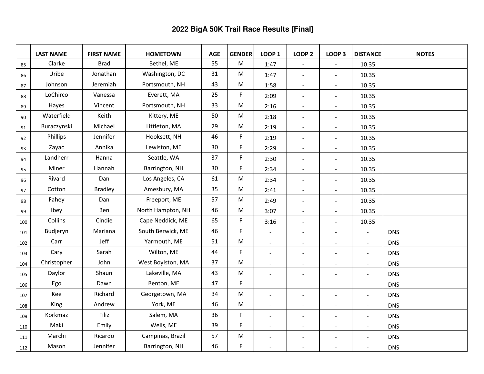|     | <b>LAST NAME</b> | <b>FIRST NAME</b> | <b>HOMETOWN</b>   | <b>AGE</b> | <b>GENDER</b>                                                                         | <b>LOOP 1</b>            | <b>LOOP 2</b>            | <b>LOOP 3</b>                | <b>DISTANCE</b>          | <b>NOTES</b> |
|-----|------------------|-------------------|-------------------|------------|---------------------------------------------------------------------------------------|--------------------------|--------------------------|------------------------------|--------------------------|--------------|
| 85  | Clarke           | <b>Brad</b>       | Bethel, ME        | 55         | M                                                                                     | 1:47                     | $\overline{\phantom{a}}$ | $\blacksquare$               | 10.35                    |              |
| 86  | Uribe            | Jonathan          | Washington, DC    | 31         | ${\sf M}$                                                                             | 1:47                     | $\blacksquare$           | $\blacksquare$               | 10.35                    |              |
| 87  | Johnson          | Jeremiah          | Portsmouth, NH    | 43         | M                                                                                     | 1:58                     | $\blacksquare$           | $\blacksquare$               | 10.35                    |              |
| 88  | LoChirco         | Vanessa           | Everett, MA       | 25         | F                                                                                     | 2:09                     | $\blacksquare$           | $\blacksquare$               | 10.35                    |              |
| 89  | Hayes            | Vincent           | Portsmouth, NH    | 33         | M                                                                                     | 2:16                     | $\blacksquare$           | $\blacksquare$               | 10.35                    |              |
| 90  | Waterfield       | Keith             | Kittery, ME       | 50         | M                                                                                     | 2:18                     | $\blacksquare$           | $\blacksquare$               | 10.35                    |              |
| 91  | Buraczynski      | Michael           | Littleton, MA     | 29         | M                                                                                     | 2:19                     | $\blacksquare$           | $\blacksquare$               | 10.35                    |              |
| 92  | Phillips         | Jennifer          | Hooksett, NH      | 46         | F                                                                                     | 2:19                     | $\sim$                   | $\sim$                       | 10.35                    |              |
| 93  | Zayac            | Annika            | Lewiston, ME      | 30         | F                                                                                     | 2:29                     | $\overline{\phantom{a}}$ | $\qquad \qquad \blacksquare$ | 10.35                    |              |
| 94  | Landherr         | Hanna             | Seattle, WA       | 37         | F                                                                                     | 2:30                     | $\overline{\phantom{a}}$ | $\overline{\phantom{a}}$     | 10.35                    |              |
| 95  | Miner            | Hannah            | Barrington, NH    | 30         | F                                                                                     | 2:34                     | $\overline{\phantom{a}}$ | $\qquad \qquad \blacksquare$ | 10.35                    |              |
| 96  | Rivard           | Dan               | Los Angeles, CA   | 61         | M                                                                                     | 2:34                     | $\blacksquare$           | $\overline{\phantom{a}}$     | 10.35                    |              |
| 97  | Cotton           | <b>Bradley</b>    | Amesbury, MA      | 35         | $\mathsf{M}% _{T}=\mathsf{M}_{T}\!\left( a,b\right) ,\ \mathsf{M}_{T}=\mathsf{M}_{T}$ | 2:41                     | $\blacksquare$           | $\overline{\phantom{a}}$     | 10.35                    |              |
| 98  | Fahey            | Dan               | Freeport, ME      | 57         | M                                                                                     | 2:49                     | $\blacksquare$           | $\blacksquare$               | 10.35                    |              |
| 99  | Ibey             | Ben               | North Hampton, NH | 46         | M                                                                                     | 3:07                     | $\blacksquare$           | $\blacksquare$               | 10.35                    |              |
| 100 | Collins          | Cindie            | Cape Neddick, ME  | 65         | F                                                                                     | 3:16                     | $\blacksquare$           | $\blacksquare$               | 10.35                    |              |
| 101 | Budjeryn         | Mariana           | South Berwick, ME | 46         | F                                                                                     | $\blacksquare$           | $\blacksquare$           | $\blacksquare$               | $\blacksquare$           | <b>DNS</b>   |
| 102 | Carr             | Jeff              | Yarmouth, ME      | 51         | M                                                                                     | $\blacksquare$           | $\blacksquare$           | $\blacksquare$               | $\blacksquare$           | <b>DNS</b>   |
| 103 | Cary             | Sarah             | Wilton, ME        | 44         | F                                                                                     | $\sim$                   | $\sim$                   | $\sim$                       | $\blacksquare$           | <b>DNS</b>   |
| 104 | Christopher      | John              | West Boylston, MA | 37         | M                                                                                     | $\blacksquare$           |                          | $\overline{a}$               | $\blacksquare$           | <b>DNS</b>   |
| 105 | Daylor           | Shaun             | Lakeville, MA     | 43         | ${\sf M}$                                                                             | $\blacksquare$           | $\blacksquare$           | $\blacksquare$               | $\blacksquare$           | <b>DNS</b>   |
| 106 | Ego              | Dawn              | Benton, ME        | 47         | F                                                                                     | $\overline{\phantom{a}}$ | $\overline{\phantom{a}}$ | $\overline{\phantom{a}}$     | $\blacksquare$           | <b>DNS</b>   |
| 107 | Kee              | Richard           | Georgetown, MA    | 34         | M                                                                                     | $\overline{\phantom{a}}$ | $\overline{\phantom{a}}$ | $\blacksquare$               | $\sim$                   | <b>DNS</b>   |
| 108 | King             | Andrew            | York, ME          | 46         | ${\sf M}$                                                                             | $\blacksquare$           | $\overline{\phantom{a}}$ | $\blacksquare$               | $\blacksquare$           | <b>DNS</b>   |
| 109 | Korkmaz          | Filiz             | Salem, MA         | 36         | F                                                                                     | $\overline{\phantom{a}}$ | $\blacksquare$           | $\blacksquare$               | $\blacksquare$           | <b>DNS</b>   |
| 110 | Maki             | Emily             | Wells, ME         | 39         | F                                                                                     | $\blacksquare$           | $\blacksquare$           | $\blacksquare$               | $\blacksquare$           | <b>DNS</b>   |
| 111 | Marchi           | Ricardo           | Campinas, Brazil  | 57         | ${\sf M}$                                                                             | $\overline{\phantom{a}}$ | $\sim$                   | $\overline{\phantom{a}}$     | $\overline{\phantom{0}}$ | <b>DNS</b>   |
| 112 | Mason            | Jennifer          | Barrington, NH    | 46         | F                                                                                     | $\overline{\phantom{a}}$ | $\sim$                   | $\sim$                       | $\overline{a}$           | <b>DNS</b>   |